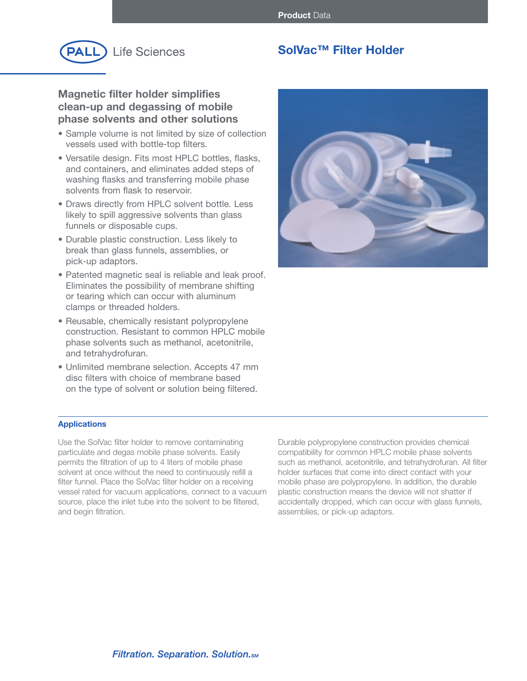

# **SolVac™ Filter Holder**

# **Magnetic filter holder simplifies clean-up and degassing of mobile phase solvents and other solutions**

- Sample volume is not limited by size of collection vessels used with bottle-top filters.
- Versatile design. Fits most HPLC bottles, flasks, and containers, and eliminates added steps of washing flasks and transferring mobile phase solvents from flask to reservoir.
- Draws directly from HPLC solvent bottle. Less likely to spill aggressive solvents than glass funnels or disposable cups.
- Durable plastic construction. Less likely to break than glass funnels, assemblies, or pick-up adaptors.
- Patented magnetic seal is reliable and leak proof. Eliminates the possibility of membrane shifting or tearing which can occur with aluminum clamps or threaded holders.
- Reusable, chemically resistant polypropylene construction. Resistant to common HPLC mobile phase solvents such as methanol, acetonitrile, and tetrahydrofuran.
- Unlimited membrane selection. Accepts 47 mm disc filters with choice of membrane based on the type of solvent or solution being filtered.



## **Applications**

Use the SolVac filter holder to remove contaminating particulate and degas mobile phase solvents. Easily permits the filtration of up to 4 liters of mobile phase solvent at once without the need to continuously refill a filter funnel. Place the SolVac filter holder on a receiving vessel rated for vacuum applications, connect to a vacuum source, place the inlet tube into the solvent to be filtered, and begin filtration.

Durable polypropylene construction provides chemical compatibility for common HPLC mobile phase solvents such as methanol, acetonitrile, and tetrahydrofuran. All filter holder surfaces that come into direct contact with your mobile phase are polypropylene. In addition, the durable plastic construction means the device will not shatter if accidentally dropped, which can occur with glass funnels, assemblies, or pick-up adaptors.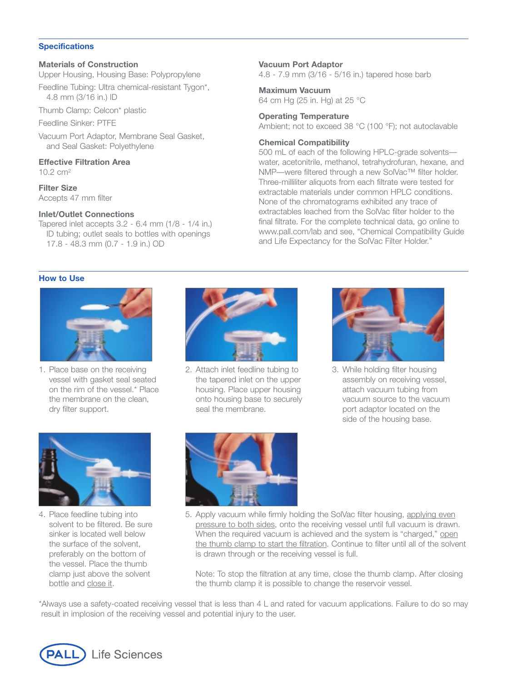### **Specifications**

## **Materials of Construction**

Upper Housing, Housing Base: Polypropylene

Feedline Tubing: Ultra chemical-resistant Tygon\*, 4.8 mm (3/16 in.) ID

Thumb Clamp: Celcon\* plastic

Feedline Sinker: PTFE

Vacuum Port Adaptor, Membrane Seal Gasket, and Seal Gasket: Polyethylene

#### **Effective Filtration Area** 10.2 cm2

**Filter Size** Accepts 47 mm filter

## **Inlet/Outlet Connections**

Tapered inlet accepts 3.2 - 6.4 mm (1/8 - 1/4 in.) ID tubing; outlet seals to bottles with openings 17.8 - 48.3 mm (0.7 - 1.9 in.) OD

## **Vacuum Port Adaptor**

4.8 - 7.9 mm (3/16 - 5/16 in.) tapered hose barb

# **Maximum Vacuum**

64 cm Hg (25 in. Hg) at 25 °C

## **Operating Temperature**

Ambient; not to exceed 38 °C (100 °F); not autoclavable

## **Chemical Compatibility**

500 mL of each of the following HPLC-grade solvents water, acetonitrile, methanol, tetrahydrofuran, hexane, and NMP—were filtered through a new SolVac™ filter holder. Three-milliliter aliquots from each filtrate were tested for extractable materials under common HPLC conditions. None of the chromatograms exhibited any trace of extractables leached from the SolVac filter holder to the final filtrate. For the complete technical data, go online to www.pall.com/lab and see, "Chemical Compatibility Guide and Life Expectancy for the SolVac Filter Holder."

## **How to Use**



1. Place base on the receiving vessel with gasket seal seated on the rim of the vessel.\* Place the membrane on the clean, dry filter support.



2. Attach inlet feedline tubing to the tapered inlet on the upper housing. Place upper housing onto housing base to securely seal the membrane.



3. While holding filter housing assembly on receiving vessel, attach vacuum tubing from vacuum source to the vacuum port adaptor located on the side of the housing base.



4. Place feedline tubing into solvent to be filtered. Be sure sinker is located well below the surface of the solvent, preferably on the bottom of the vessel. Place the thumb clamp just above the solvent bottle and close it.



5. Apply vacuum while firmly holding the SolVac filter housing, applying even pressure to both sides, onto the receiving vessel until full vacuum is drawn. When the required vacuum is achieved and the system is "charged," open the thumb clamp to start the filtration. Continue to filter until all of the solvent is drawn through or the receiving vessel is full.

Note: To stop the filtration at any time, close the thumb clamp. After closing the thumb clamp it is possible to change the reservoir vessel.

\*Always use a safety-coated receiving vessel that is less than 4 L and rated for vacuum applications. Failure to do so may result in implosion of the receiving vessel and potential injury to the user.

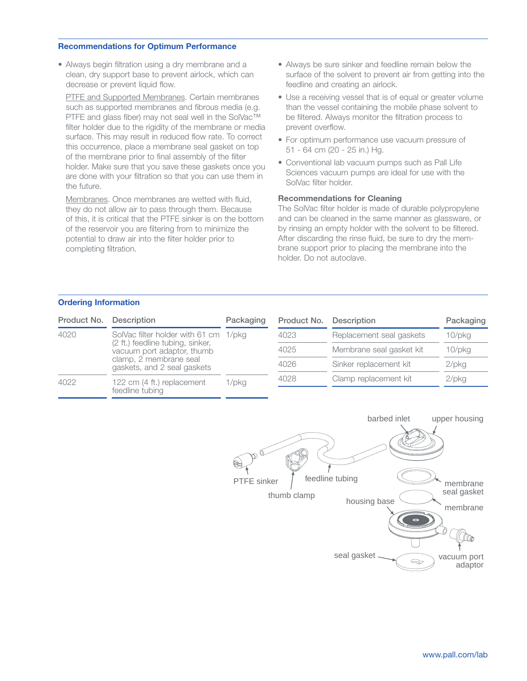### **Recommendations for Optimum Performance**

• Always begin filtration using a dry membrane and a clean, dry support base to prevent airlock, which can decrease or prevent liquid flow.

PTFE and Supported Membranes. Certain membranes such as supported membranes and fibrous media (e.g. PTFE and glass fiber) may not seal well in the SolVac™ filter holder due to the rigidity of the membrane or media surface. This may result in reduced flow rate. To correct this occurrence, place a membrane seal gasket on top of the membrane prior to final assembly of the filter holder. Make sure that you save these gaskets once you are done with your filtration so that you can use them in the future.

Membranes. Once membranes are wetted with fluid, they do not allow air to pass through them. Because of this, it is critical that the PTFE sinker is on the bottom of the reservoir you are filtering from to minimize the potential to draw air into the filter holder prior to completing filtration.

- Always be sure sinker and feedline remain below the surface of the solvent to prevent air from getting into the feedline and creating an airlock.
- Use a receiving vessel that is of equal or greater volume than the vessel containing the mobile phase solvent to be filtered. Always monitor the filtration process to prevent overflow.
- For optimum performance use vacuum pressure of 51 - 64 cm (20 - 25 in.) Hg.
- Conventional lab vacuum pumps such as Pall Life Sciences vacuum pumps are ideal for use with the SolVac filter holder.

## **Recommendations for Cleaning**

The SolVac filter holder is made of durable polypropylene and can be cleaned in the same manner as glassware, or by rinsing an empty holder with the solvent to be filtered. After discarding the rinse fluid, be sure to dry the membrane support prior to placing the membrane into the holder. Do not autoclave.

## **Ordering Information**

| Product No. | Description                                                                                                                                                      | Packaging | Product No. | <b>Description</b>       | Packaging    |
|-------------|------------------------------------------------------------------------------------------------------------------------------------------------------------------|-----------|-------------|--------------------------|--------------|
| 4020        | SolVac filter holder with 61 cm 1/pkg<br>(2 ft.) feedline tubing, sinker,<br>vacuum port adaptor, thumb<br>clamp, 2 membrane seal<br>gaskets, and 2 seal gaskets |           | 4023        | Replacement seal gaskets | $10$ /p $kg$ |
|             |                                                                                                                                                                  |           | 4025        | Membrane seal gasket kit | $10$ /p $kg$ |
|             |                                                                                                                                                                  |           | 4026        | Sinker replacement kit   | $2$ /pkg     |
| 4022        | 122 cm (4 ft.) replacement<br>feedline tubing                                                                                                                    | 1/pkg     | 4028        | Clamp replacement kit    | $2$ /pkg     |
|             |                                                                                                                                                                  |           |             |                          |              |